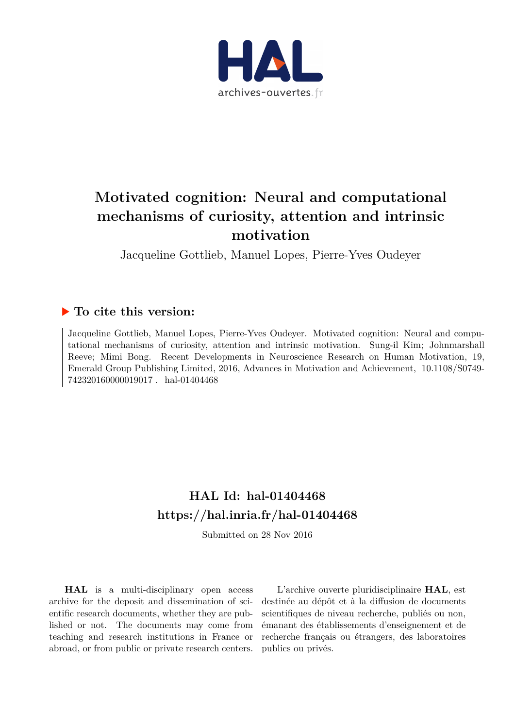

# **Motivated cognition: Neural and computational mechanisms of curiosity, attention and intrinsic motivation**

Jacqueline Gottlieb, Manuel Lopes, Pierre-Yves Oudeyer

## **To cite this version:**

Jacqueline Gottlieb, Manuel Lopes, Pierre-Yves Oudeyer. Motivated cognition: Neural and computational mechanisms of curiosity, attention and intrinsic motivation. Sung-il Kim; Johnmarshall Reeve; Mimi Bong. Recent Developments in Neuroscience Research on Human Motivation, 19, Emerald Group Publishing Limited, 2016, Advances in Motivation and Achievement, 10.1108/S0749- $742320160000019017$ . hal-01404468

## **HAL Id: hal-01404468 <https://hal.inria.fr/hal-01404468>**

Submitted on 28 Nov 2016

**HAL** is a multi-disciplinary open access archive for the deposit and dissemination of scientific research documents, whether they are published or not. The documents may come from teaching and research institutions in France or abroad, or from public or private research centers.

L'archive ouverte pluridisciplinaire **HAL**, est destinée au dépôt et à la diffusion de documents scientifiques de niveau recherche, publiés ou non, émanant des établissements d'enseignement et de recherche français ou étrangers, des laboratoires publics ou privés.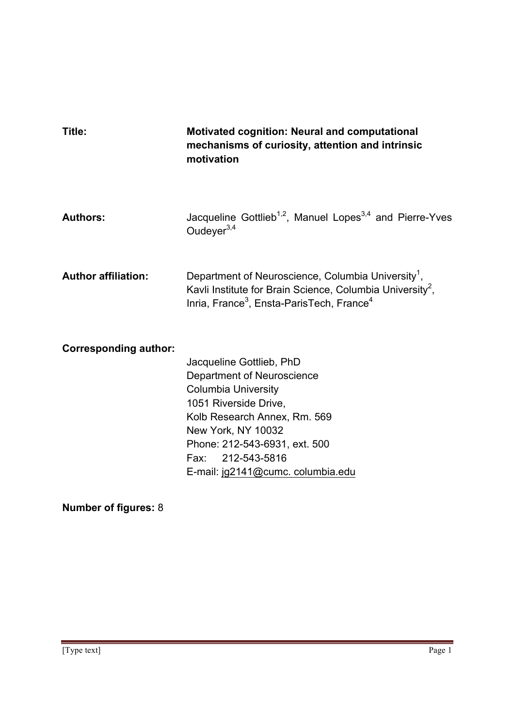| Title:                       | <b>Motivated cognition: Neural and computational</b><br>mechanisms of curiosity, attention and intrinsic<br>motivation                                                                                                                                         |
|------------------------------|----------------------------------------------------------------------------------------------------------------------------------------------------------------------------------------------------------------------------------------------------------------|
| <b>Authors:</b>              | Jacqueline Gottlieb <sup>1,2</sup> , Manuel Lopes <sup>3,4</sup> and Pierre-Yves<br>Oudeyer <sup>3,4</sup>                                                                                                                                                     |
| <b>Author affiliation:</b>   | Department of Neuroscience, Columbia University <sup>1</sup> ,<br>Kavli Institute for Brain Science, Columbia University <sup>2</sup> ,<br>Inria, France <sup>3</sup> , Ensta-ParisTech, France <sup>4</sup>                                                   |
| <b>Corresponding author:</b> | Jacqueline Gottlieb, PhD<br>Department of Neuroscience<br><b>Columbia University</b><br>1051 Riverside Drive,<br>Kolb Research Annex, Rm. 569<br>New York, NY 10032<br>Phone: 212-543-6931, ext. 500<br>Fax: 212-543-5816<br>E-mail: jg2141@cumc. columbia.edu |

**Number of figures:** 8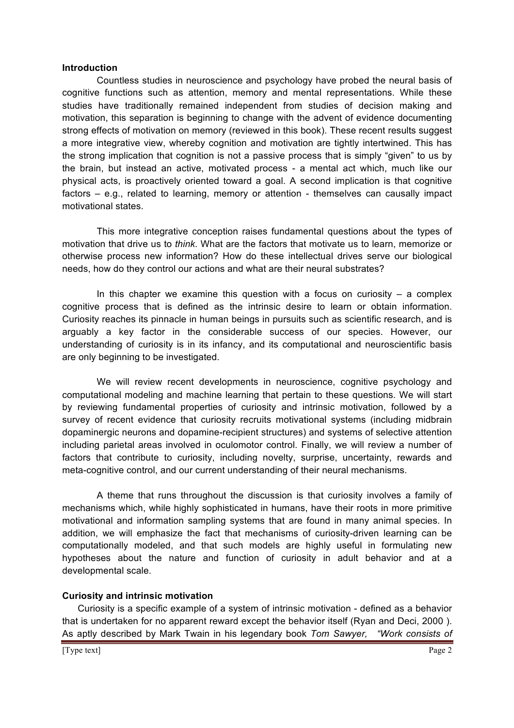#### **Introduction**

Countless studies in neuroscience and psychology have probed the neural basis of cognitive functions such as attention, memory and mental representations. While these studies have traditionally remained independent from studies of decision making and motivation, this separation is beginning to change with the advent of evidence documenting strong effects of motivation on memory (reviewed in this book). These recent results suggest a more integrative view, whereby cognition and motivation are tightly intertwined. This has the strong implication that cognition is not a passive process that is simply "given" to us by the brain, but instead an active, motivated process - a mental act which, much like our physical acts, is proactively oriented toward a goal. A second implication is that cognitive factors – e.g., related to learning, memory or attention - themselves can causally impact motivational states.

This more integrative conception raises fundamental questions about the types of motivation that drive us to *think*. What are the factors that motivate us to learn, memorize or otherwise process new information? How do these intellectual drives serve our biological needs, how do they control our actions and what are their neural substrates?

In this chapter we examine this question with a focus on curiosity  $-$  a complex cognitive process that is defined as the intrinsic desire to learn or obtain information. Curiosity reaches its pinnacle in human beings in pursuits such as scientific research, and is arguably a key factor in the considerable success of our species. However, our understanding of curiosity is in its infancy, and its computational and neuroscientific basis are only beginning to be investigated.

We will review recent developments in neuroscience, cognitive psychology and computational modeling and machine learning that pertain to these questions. We will start by reviewing fundamental properties of curiosity and intrinsic motivation, followed by a survey of recent evidence that curiosity recruits motivational systems (including midbrain dopaminergic neurons and dopamine-recipient structures) and systems of selective attention including parietal areas involved in oculomotor control. Finally, we will review a number of factors that contribute to curiosity, including novelty, surprise, uncertainty, rewards and meta-cognitive control, and our current understanding of their neural mechanisms.

A theme that runs throughout the discussion is that curiosity involves a family of mechanisms which, while highly sophisticated in humans, have their roots in more primitive motivational and information sampling systems that are found in many animal species. In addition, we will emphasize the fact that mechanisms of curiosity-driven learning can be computationally modeled, and that such models are highly useful in formulating new hypotheses about the nature and function of curiosity in adult behavior and at a developmental scale.

### **Curiosity and intrinsic motivation**

Curiosity is a specific example of a system of intrinsic motivation - defined as a behavior that is undertaken for no apparent reward except the behavior itself (Ryan and Deci, 2000 ). As aptly described by Mark Twain in his legendary book *Tom Sawyer, "Work consists of*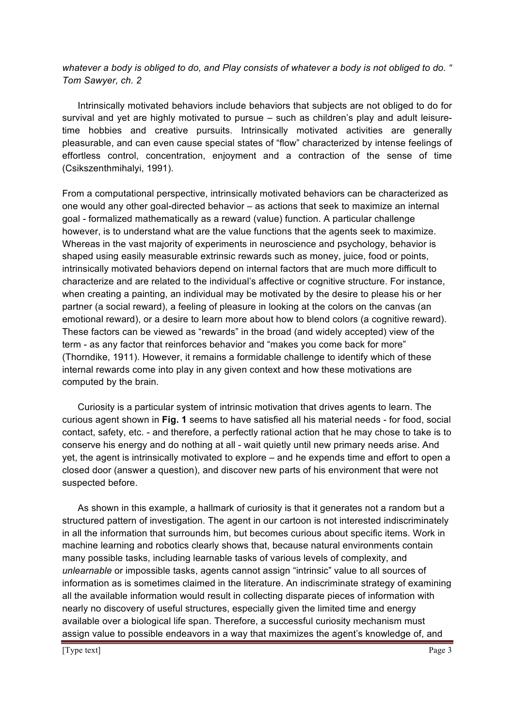*whatever a body is obliged to do, and Play consists of whatever a body is not obliged to do. " Tom Sawyer, ch. 2*

Intrinsically motivated behaviors include behaviors that subjects are not obliged to do for survival and yet are highly motivated to pursue – such as children's play and adult leisuretime hobbies and creative pursuits. Intrinsically motivated activities are generally pleasurable, and can even cause special states of "flow" characterized by intense feelings of effortless control, concentration, enjoyment and a contraction of the sense of time (Csikszenthmihalyi, 1991).

From a computational perspective, intrinsically motivated behaviors can be characterized as one would any other goal-directed behavior – as actions that seek to maximize an internal goal - formalized mathematically as a reward (value) function. A particular challenge however, is to understand what are the value functions that the agents seek to maximize. Whereas in the vast majority of experiments in neuroscience and psychology, behavior is shaped using easily measurable extrinsic rewards such as money, juice, food or points, intrinsically motivated behaviors depend on internal factors that are much more difficult to characterize and are related to the individual's affective or cognitive structure. For instance, when creating a painting, an individual may be motivated by the desire to please his or her partner (a social reward), a feeling of pleasure in looking at the colors on the canvas (an emotional reward), or a desire to learn more about how to blend colors (a cognitive reward). These factors can be viewed as "rewards" in the broad (and widely accepted) view of the term - as any factor that reinforces behavior and "makes you come back for more" (Thorndike, 1911). However, it remains a formidable challenge to identify which of these internal rewards come into play in any given context and how these motivations are computed by the brain.

Curiosity is a particular system of intrinsic motivation that drives agents to learn. The curious agent shown in **Fig. 1** seems to have satisfied all his material needs - for food, social contact, safety, etc. - and therefore, a perfectly rational action that he may chose to take is to conserve his energy and do nothing at all - wait quietly until new primary needs arise. And yet, the agent is intrinsically motivated to explore – and he expends time and effort to open a closed door (answer a question), and discover new parts of his environment that were not suspected before.

As shown in this example, a hallmark of curiosity is that it generates not a random but a structured pattern of investigation. The agent in our cartoon is not interested indiscriminately in all the information that surrounds him, but becomes curious about specific items. Work in machine learning and robotics clearly shows that, because natural environments contain many possible tasks, including learnable tasks of various levels of complexity, and *unlearnable* or impossible tasks, agents cannot assign "intrinsic" value to all sources of information as is sometimes claimed in the literature. An indiscriminate strategy of examining all the available information would result in collecting disparate pieces of information with nearly no discovery of useful structures, especially given the limited time and energy available over a biological life span. Therefore, a successful curiosity mechanism must assign value to possible endeavors in a way that maximizes the agent's knowledge of, and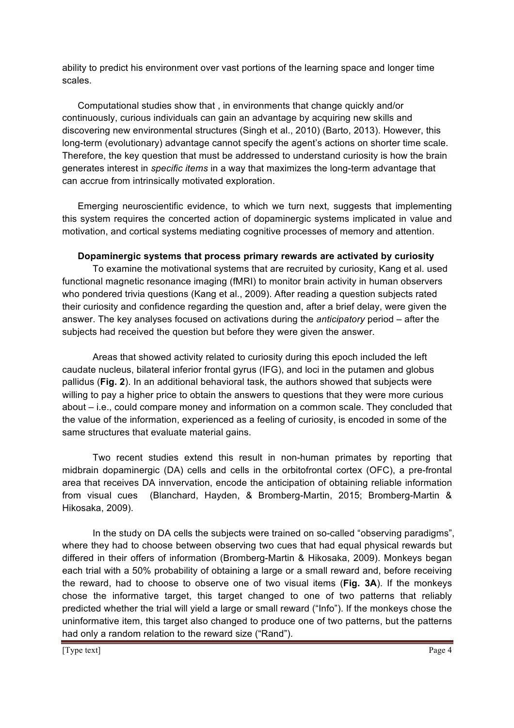ability to predict his environment over vast portions of the learning space and longer time scales.

Computational studies show that , in environments that change quickly and/or continuously, curious individuals can gain an advantage by acquiring new skills and discovering new environmental structures (Singh et al., 2010) (Barto, 2013). However, this long-term (evolutionary) advantage cannot specify the agent's actions on shorter time scale. Therefore, the key question that must be addressed to understand curiosity is how the brain generates interest in *specific items* in a way that maximizes the long-term advantage that can accrue from intrinsically motivated exploration.

Emerging neuroscientific evidence, to which we turn next, suggests that implementing this system requires the concerted action of dopaminergic systems implicated in value and motivation, and cortical systems mediating cognitive processes of memory and attention.

## **Dopaminergic systems that process primary rewards are activated by curiosity**

To examine the motivational systems that are recruited by curiosity, Kang et al. used functional magnetic resonance imaging (fMRI) to monitor brain activity in human observers who pondered trivia questions (Kang et al., 2009). After reading a question subjects rated their curiosity and confidence regarding the question and, after a brief delay, were given the answer. The key analyses focused on activations during the *anticipatory* period – after the subjects had received the question but before they were given the answer.

Areas that showed activity related to curiosity during this epoch included the left caudate nucleus, bilateral inferior frontal gyrus (IFG), and loci in the putamen and globus pallidus (**Fig. 2**). In an additional behavioral task, the authors showed that subjects were willing to pay a higher price to obtain the answers to questions that they were more curious about – i.e., could compare money and information on a common scale. They concluded that the value of the information, experienced as a feeling of curiosity, is encoded in some of the same structures that evaluate material gains.

Two recent studies extend this result in non-human primates by reporting that midbrain dopaminergic (DA) cells and cells in the orbitofrontal cortex (OFC), a pre-frontal area that receives DA innvervation, encode the anticipation of obtaining reliable information from visual cues (Blanchard, Hayden, & Bromberg-Martin, 2015; Bromberg-Martin & Hikosaka, 2009).

In the study on DA cells the subjects were trained on so-called "observing paradigms", where they had to choose between observing two cues that had equal physical rewards but differed in their offers of information (Bromberg-Martin & Hikosaka, 2009). Monkeys began each trial with a 50% probability of obtaining a large or a small reward and, before receiving the reward, had to choose to observe one of two visual items (**Fig. 3A**). If the monkeys chose the informative target, this target changed to one of two patterns that reliably predicted whether the trial will yield a large or small reward ("Info"). If the monkeys chose the uninformative item, this target also changed to produce one of two patterns, but the patterns had only a random relation to the reward size ("Rand").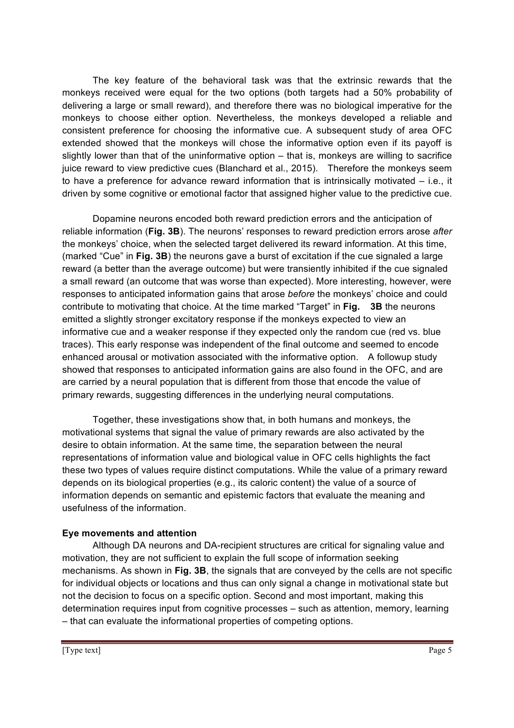The key feature of the behavioral task was that the extrinsic rewards that the monkeys received were equal for the two options (both targets had a 50% probability of delivering a large or small reward), and therefore there was no biological imperative for the monkeys to choose either option. Nevertheless, the monkeys developed a reliable and consistent preference for choosing the informative cue. A subsequent study of area OFC extended showed that the monkeys will chose the informative option even if its payoff is slightly lower than that of the uninformative option – that is, monkeys are willing to sacrifice juice reward to view predictive cues (Blanchard et al., 2015). Therefore the monkeys seem to have a preference for advance reward information that is intrinsically motivated – i.e., it driven by some cognitive or emotional factor that assigned higher value to the predictive cue.

Dopamine neurons encoded both reward prediction errors and the anticipation of reliable information (**Fig. 3B**). The neurons' responses to reward prediction errors arose *after* the monkeys' choice, when the selected target delivered its reward information. At this time, (marked "Cue" in **Fig. 3B**) the neurons gave a burst of excitation if the cue signaled a large reward (a better than the average outcome) but were transiently inhibited if the cue signaled a small reward (an outcome that was worse than expected). More interesting, however, were responses to anticipated information gains that arose *before* the monkeys' choice and could contribute to motivating that choice. At the time marked "Target" in **Fig. 3B** the neurons emitted a slightly stronger excitatory response if the monkeys expected to view an informative cue and a weaker response if they expected only the random cue (red vs. blue traces). This early response was independent of the final outcome and seemed to encode enhanced arousal or motivation associated with the informative option. A followup study showed that responses to anticipated information gains are also found in the OFC, and are are carried by a neural population that is different from those that encode the value of primary rewards, suggesting differences in the underlying neural computations.

Together, these investigations show that, in both humans and monkeys, the motivational systems that signal the value of primary rewards are also activated by the desire to obtain information. At the same time, the separation between the neural representations of information value and biological value in OFC cells highlights the fact these two types of values require distinct computations. While the value of a primary reward depends on its biological properties (e.g., its caloric content) the value of a source of information depends on semantic and epistemic factors that evaluate the meaning and usefulness of the information.

## **Eye movements and attention**

Although DA neurons and DA-recipient structures are critical for signaling value and motivation, they are not sufficient to explain the full scope of information seeking mechanisms. As shown in **Fig. 3B**, the signals that are conveyed by the cells are not specific for individual objects or locations and thus can only signal a change in motivational state but not the decision to focus on a specific option. Second and most important, making this determination requires input from cognitive processes – such as attention, memory, learning – that can evaluate the informational properties of competing options.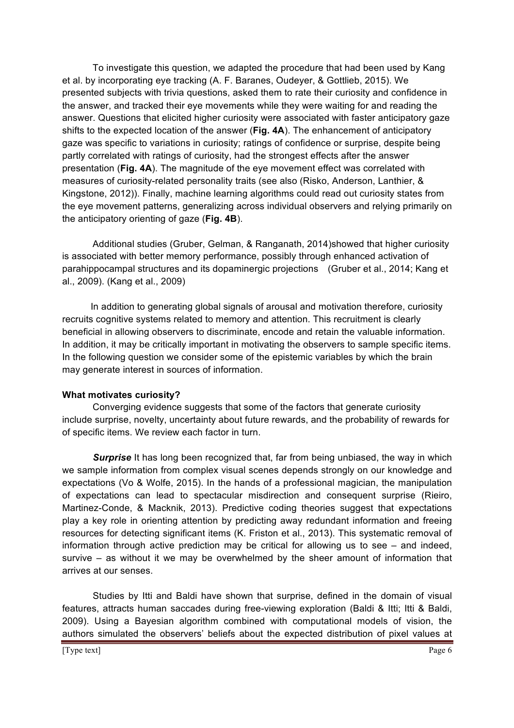To investigate this question, we adapted the procedure that had been used by Kang et al. by incorporating eye tracking (A. F. Baranes, Oudeyer, & Gottlieb, 2015). We presented subjects with trivia questions, asked them to rate their curiosity and confidence in the answer, and tracked their eye movements while they were waiting for and reading the answer. Questions that elicited higher curiosity were associated with faster anticipatory gaze shifts to the expected location of the answer (**Fig. 4A**). The enhancement of anticipatory gaze was specific to variations in curiosity; ratings of confidence or surprise, despite being partly correlated with ratings of curiosity, had the strongest effects after the answer presentation (**Fig. 4A**). The magnitude of the eye movement effect was correlated with measures of curiosity-related personality traits (see also (Risko, Anderson, Lanthier, & Kingstone, 2012)). Finally, machine learning algorithms could read out curiosity states from the eye movement patterns, generalizing across individual observers and relying primarily on the anticipatory orienting of gaze (**Fig. 4B**).

Additional studies (Gruber, Gelman, & Ranganath, 2014)showed that higher curiosity is associated with better memory performance, possibly through enhanced activation of parahippocampal structures and its dopaminergic projections (Gruber et al., 2014; Kang et al., 2009). (Kang et al., 2009)

 In addition to generating global signals of arousal and motivation therefore, curiosity recruits cognitive systems related to memory and attention. This recruitment is clearly beneficial in allowing observers to discriminate, encode and retain the valuable information. In addition, it may be critically important in motivating the observers to sample specific items. In the following question we consider some of the epistemic variables by which the brain may generate interest in sources of information.

### **What motivates curiosity?**

Converging evidence suggests that some of the factors that generate curiosity include surprise, novelty, uncertainty about future rewards, and the probability of rewards for of specific items. We review each factor in turn.

**Surprise** It has long been recognized that, far from being unbiased, the way in which we sample information from complex visual scenes depends strongly on our knowledge and expectations (Vo & Wolfe, 2015). In the hands of a professional magician, the manipulation of expectations can lead to spectacular misdirection and consequent surprise (Rieiro, Martinez-Conde, & Macknik, 2013). Predictive coding theories suggest that expectations play a key role in orienting attention by predicting away redundant information and freeing resources for detecting significant items (K. Friston et al., 2013). This systematic removal of information through active prediction may be critical for allowing us to see – and indeed, survive – as without it we may be overwhelmed by the sheer amount of information that arrives at our senses.

Studies by Itti and Baldi have shown that surprise, defined in the domain of visual features, attracts human saccades during free-viewing exploration (Baldi & Itti; Itti & Baldi, 2009). Using a Bayesian algorithm combined with computational models of vision, the authors simulated the observers' beliefs about the expected distribution of pixel values at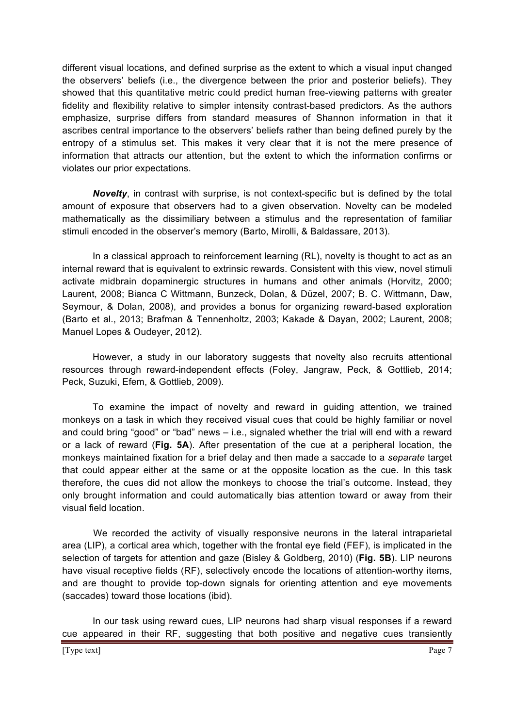different visual locations, and defined surprise as the extent to which a visual input changed the observers' beliefs (i.e., the divergence between the prior and posterior beliefs). They showed that this quantitative metric could predict human free-viewing patterns with greater fidelity and flexibility relative to simpler intensity contrast-based predictors. As the authors emphasize, surprise differs from standard measures of Shannon information in that it ascribes central importance to the observers' beliefs rather than being defined purely by the entropy of a stimulus set. This makes it very clear that it is not the mere presence of information that attracts our attention, but the extent to which the information confirms or violates our prior expectations.

*Novelty*, in contrast with surprise, is not context-specific but is defined by the total amount of exposure that observers had to a given observation. Novelty can be modeled mathematically as the dissimiliary between a stimulus and the representation of familiar stimuli encoded in the observer's memory (Barto, Mirolli, & Baldassare, 2013).

In a classical approach to reinforcement learning (RL), novelty is thought to act as an internal reward that is equivalent to extrinsic rewards. Consistent with this view, novel stimuli activate midbrain dopaminergic structures in humans and other animals (Horvitz, 2000; Laurent, 2008; Bianca C Wittmann, Bunzeck, Dolan, & Düzel, 2007; B. C. Wittmann, Daw, Seymour, & Dolan, 2008), and provides a bonus for organizing reward-based exploration (Barto et al., 2013; Brafman & Tennenholtz, 2003; Kakade & Dayan, 2002; Laurent, 2008; Manuel Lopes & Oudeyer, 2012).

However, a study in our laboratory suggests that novelty also recruits attentional resources through reward-independent effects (Foley, Jangraw, Peck, & Gottlieb, 2014; Peck, Suzuki, Efem, & Gottlieb, 2009).

To examine the impact of novelty and reward in guiding attention, we trained monkeys on a task in which they received visual cues that could be highly familiar or novel and could bring "good" or "bad" news – i.e., signaled whether the trial will end with a reward or a lack of reward (**Fig. 5A**). After presentation of the cue at a peripheral location, the monkeys maintained fixation for a brief delay and then made a saccade to a *separate* target that could appear either at the same or at the opposite location as the cue. In this task therefore, the cues did not allow the monkeys to choose the trial's outcome. Instead, they only brought information and could automatically bias attention toward or away from their visual field location.

We recorded the activity of visually responsive neurons in the lateral intraparietal area (LIP), a cortical area which, together with the frontal eye field (FEF), is implicated in the selection of targets for attention and gaze (Bisley & Goldberg, 2010) (**Fig. 5B**). LIP neurons have visual receptive fields (RF), selectively encode the locations of attention-worthy items, and are thought to provide top-down signals for orienting attention and eye movements (saccades) toward those locations (ibid).

In our task using reward cues, LIP neurons had sharp visual responses if a reward cue appeared in their RF, suggesting that both positive and negative cues transiently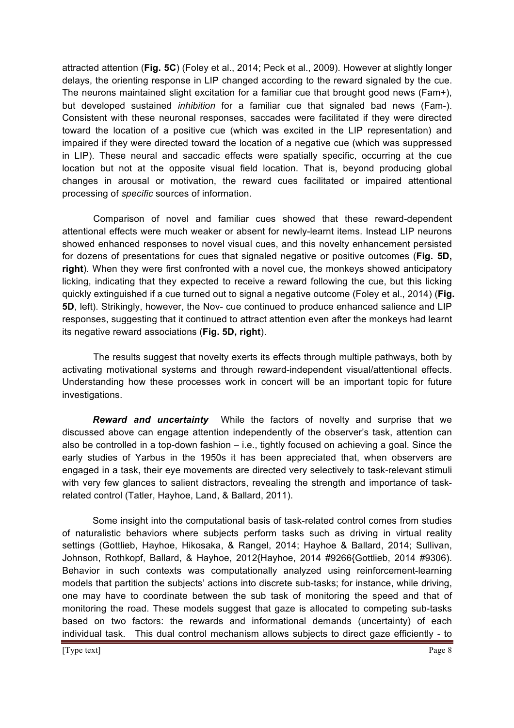attracted attention (**Fig. 5C**) (Foley et al., 2014; Peck et al., 2009). However at slightly longer delays, the orienting response in LIP changed according to the reward signaled by the cue. The neurons maintained slight excitation for a familiar cue that brought good news (Fam+), but developed sustained *inhibition* for a familiar cue that signaled bad news (Fam-). Consistent with these neuronal responses, saccades were facilitated if they were directed toward the location of a positive cue (which was excited in the LIP representation) and impaired if they were directed toward the location of a negative cue (which was suppressed in LIP). These neural and saccadic effects were spatially specific, occurring at the cue location but not at the opposite visual field location. That is, beyond producing global changes in arousal or motivation, the reward cues facilitated or impaired attentional processing of *specific* sources of information.

Comparison of novel and familiar cues showed that these reward-dependent attentional effects were much weaker or absent for newly-learnt items. Instead LIP neurons showed enhanced responses to novel visual cues, and this novelty enhancement persisted for dozens of presentations for cues that signaled negative or positive outcomes (**Fig. 5D, right**). When they were first confronted with a novel cue, the monkeys showed anticipatory licking, indicating that they expected to receive a reward following the cue, but this licking quickly extinguished if a cue turned out to signal a negative outcome (Foley et al., 2014) (**Fig. 5D**, left). Strikingly, however, the Nov- cue continued to produce enhanced salience and LIP responses, suggesting that it continued to attract attention even after the monkeys had learnt its negative reward associations (**Fig. 5D, right**).

The results suggest that novelty exerts its effects through multiple pathways, both by activating motivational systems and through reward-independent visual/attentional effects. Understanding how these processes work in concert will be an important topic for future investigations.

*Reward and uncertainty* While the factors of novelty and surprise that we discussed above can engage attention independently of the observer's task, attention can also be controlled in a top-down fashion – i.e., tightly focused on achieving a goal. Since the early studies of Yarbus in the 1950s it has been appreciated that, when observers are engaged in a task, their eye movements are directed very selectively to task-relevant stimuli with very few glances to salient distractors, revealing the strength and importance of taskrelated control (Tatler, Hayhoe, Land, & Ballard, 2011).

Some insight into the computational basis of task-related control comes from studies of naturalistic behaviors where subjects perform tasks such as driving in virtual reality settings (Gottlieb, Hayhoe, Hikosaka, & Rangel, 2014; Hayhoe & Ballard, 2014; Sullivan, Johnson, Rothkopf, Ballard, & Hayhoe, 2012{Hayhoe, 2014 #9266{Gottlieb, 2014 #9306). Behavior in such contexts was computationally analyzed using reinforcement-learning models that partition the subjects' actions into discrete sub-tasks; for instance, while driving, one may have to coordinate between the sub task of monitoring the speed and that of monitoring the road. These models suggest that gaze is allocated to competing sub-tasks based on two factors: the rewards and informational demands (uncertainty) of each individual task. This dual control mechanism allows subjects to direct gaze efficiently - to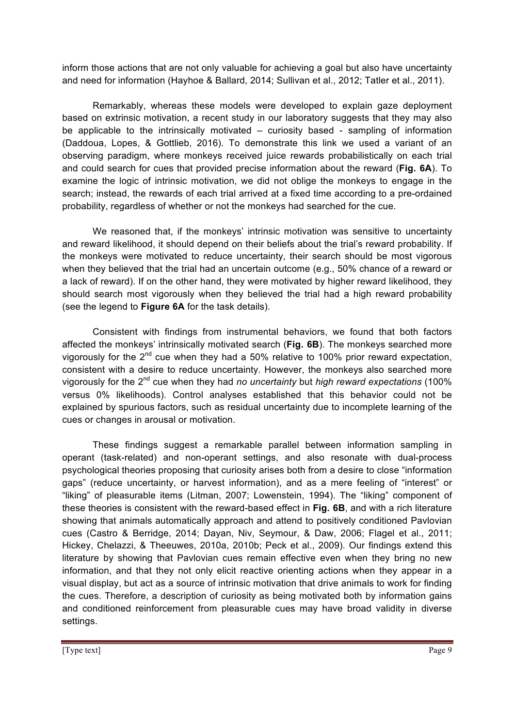inform those actions that are not only valuable for achieving a goal but also have uncertainty and need for information (Hayhoe & Ballard, 2014; Sullivan et al., 2012; Tatler et al., 2011).

Remarkably, whereas these models were developed to explain gaze deployment based on extrinsic motivation, a recent study in our laboratory suggests that they may also be applicable to the intrinsically motivated – curiosity based - sampling of information (Daddoua, Lopes, & Gottlieb, 2016). To demonstrate this link we used a variant of an observing paradigm, where monkeys received juice rewards probabilistically on each trial and could search for cues that provided precise information about the reward (**Fig. 6A**). To examine the logic of intrinsic motivation, we did not oblige the monkeys to engage in the search; instead, the rewards of each trial arrived at a fixed time according to a pre-ordained probability, regardless of whether or not the monkeys had searched for the cue.

We reasoned that, if the monkeys' intrinsic motivation was sensitive to uncertainty and reward likelihood, it should depend on their beliefs about the trial's reward probability. If the monkeys were motivated to reduce uncertainty, their search should be most vigorous when they believed that the trial had an uncertain outcome (e.g., 50% chance of a reward or a lack of reward). If on the other hand, they were motivated by higher reward likelihood, they should search most vigorously when they believed the trial had a high reward probability (see the legend to **Figure 6A** for the task details).

Consistent with findings from instrumental behaviors, we found that both factors affected the monkeys' intrinsically motivated search (**Fig. 6B**). The monkeys searched more vigorously for the  $2^{nd}$  cue when they had a 50% relative to 100% prior reward expectation, consistent with a desire to reduce uncertainty. However, the monkeys also searched more vigorously for the 2nd cue when they had *no uncertainty* but *high reward expectations* (100% versus 0% likelihoods). Control analyses established that this behavior could not be explained by spurious factors, such as residual uncertainty due to incomplete learning of the cues or changes in arousal or motivation.

These findings suggest a remarkable parallel between information sampling in operant (task-related) and non-operant settings, and also resonate with dual-process psychological theories proposing that curiosity arises both from a desire to close "information gaps" (reduce uncertainty, or harvest information), and as a mere feeling of "interest" or "liking" of pleasurable items (Litman, 2007; Lowenstein, 1994). The "liking" component of these theories is consistent with the reward-based effect in **Fig. 6B**, and with a rich literature showing that animals automatically approach and attend to positively conditioned Pavlovian cues (Castro & Berridge, 2014; Dayan, Niv, Seymour, & Daw, 2006; Flagel et al., 2011; Hickey, Chelazzi, & Theeuwes, 2010a, 2010b; Peck et al., 2009). Our findings extend this literature by showing that Pavlovian cues remain effective even when they bring no new information, and that they not only elicit reactive orienting actions when they appear in a visual display, but act as a source of intrinsic motivation that drive animals to work for finding the cues. Therefore, a description of curiosity as being motivated both by information gains and conditioned reinforcement from pleasurable cues may have broad validity in diverse settings.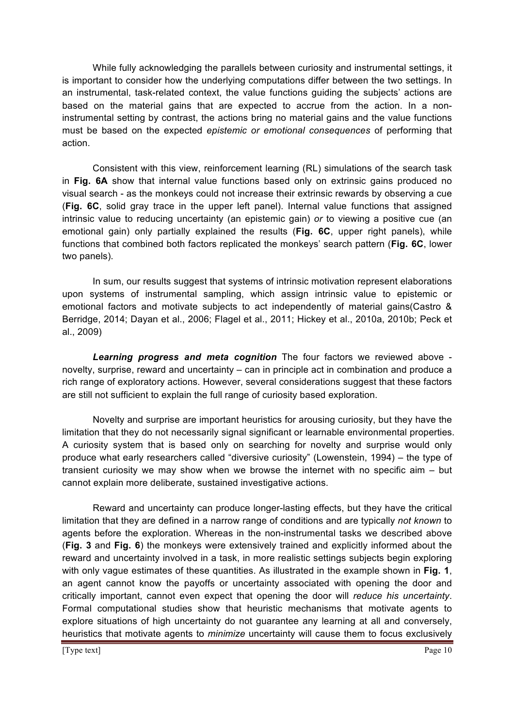While fully acknowledging the parallels between curiosity and instrumental settings, it is important to consider how the underlying computations differ between the two settings. In an instrumental, task-related context, the value functions guiding the subjects' actions are based on the material gains that are expected to accrue from the action. In a noninstrumental setting by contrast, the actions bring no material gains and the value functions must be based on the expected *epistemic or emotional consequences* of performing that action.

Consistent with this view, reinforcement learning (RL) simulations of the search task in **Fig. 6A** show that internal value functions based only on extrinsic gains produced no visual search - as the monkeys could not increase their extrinsic rewards by observing a cue (**Fig. 6C**, solid gray trace in the upper left panel). Internal value functions that assigned intrinsic value to reducing uncertainty (an epistemic gain) *or* to viewing a positive cue (an emotional gain) only partially explained the results (**Fig. 6C**, upper right panels), while functions that combined both factors replicated the monkeys' search pattern (**Fig. 6C**, lower two panels).

In sum, our results suggest that systems of intrinsic motivation represent elaborations upon systems of instrumental sampling, which assign intrinsic value to epistemic or emotional factors and motivate subjects to act independently of material gains(Castro & Berridge, 2014; Dayan et al., 2006; Flagel et al., 2011; Hickey et al., 2010a, 2010b; Peck et al., 2009)

*Learning progress and meta cognition* The four factors we reviewed above novelty, surprise, reward and uncertainty – can in principle act in combination and produce a rich range of exploratory actions. However, several considerations suggest that these factors are still not sufficient to explain the full range of curiosity based exploration.

Novelty and surprise are important heuristics for arousing curiosity, but they have the limitation that they do not necessarily signal significant or learnable environmental properties. A curiosity system that is based only on searching for novelty and surprise would only produce what early researchers called "diversive curiosity" (Lowenstein, 1994) – the type of transient curiosity we may show when we browse the internet with no specific aim – but cannot explain more deliberate, sustained investigative actions.

Reward and uncertainty can produce longer-lasting effects, but they have the critical limitation that they are defined in a narrow range of conditions and are typically *not known* to agents before the exploration. Whereas in the non-instrumental tasks we described above (**Fig. 3** and **Fig. 6**) the monkeys were extensively trained and explicitly informed about the reward and uncertainty involved in a task, in more realistic settings subjects begin exploring with only vague estimates of these quantities. As illustrated in the example shown in **Fig. 1**, an agent cannot know the payoffs or uncertainty associated with opening the door and critically important, cannot even expect that opening the door will *reduce his uncertainty*. Formal computational studies show that heuristic mechanisms that motivate agents to explore situations of high uncertainty do not guarantee any learning at all and conversely, heuristics that motivate agents to *minimize* uncertainty will cause them to focus exclusively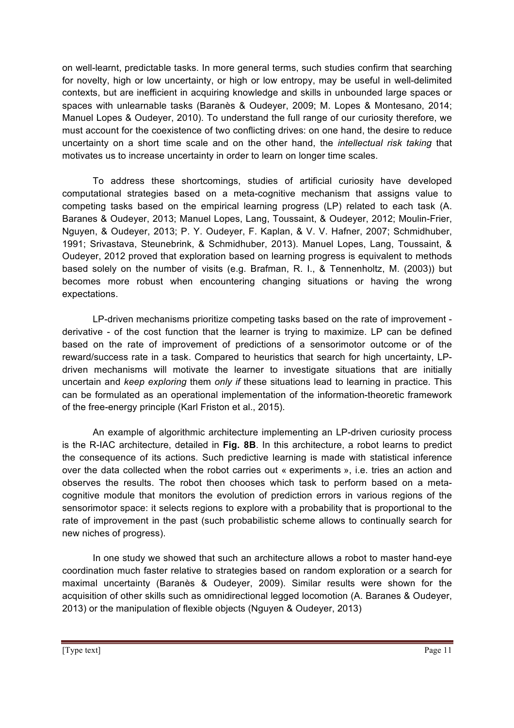on well-learnt, predictable tasks. In more general terms, such studies confirm that searching for novelty, high or low uncertainty, or high or low entropy, may be useful in well-delimited contexts, but are inefficient in acquiring knowledge and skills in unbounded large spaces or spaces with unlearnable tasks (Baranès & Oudeyer, 2009; M. Lopes & Montesano, 2014; Manuel Lopes & Oudeyer, 2010). To understand the full range of our curiosity therefore, we must account for the coexistence of two conflicting drives: on one hand, the desire to reduce uncertainty on a short time scale and on the other hand, the *intellectual risk taking* that motivates us to increase uncertainty in order to learn on longer time scales.

To address these shortcomings, studies of artificial curiosity have developed computational strategies based on a meta-cognitive mechanism that assigns value to competing tasks based on the empirical learning progress (LP) related to each task (A. Baranes & Oudeyer, 2013; Manuel Lopes, Lang, Toussaint, & Oudeyer, 2012; Moulin-Frier, Nguyen, & Oudeyer, 2013; P. Y. Oudeyer, F. Kaplan, & V. V. Hafner, 2007; Schmidhuber, 1991; Srivastava, Steunebrink, & Schmidhuber, 2013). Manuel Lopes, Lang, Toussaint, & Oudeyer, 2012 proved that exploration based on learning progress is equivalent to methods based solely on the number of visits (e.g. Brafman, R. I., & Tennenholtz, M. (2003)) but becomes more robust when encountering changing situations or having the wrong expectations.

LP-driven mechanisms prioritize competing tasks based on the rate of improvement derivative - of the cost function that the learner is trying to maximize. LP can be defined based on the rate of improvement of predictions of a sensorimotor outcome or of the reward/success rate in a task. Compared to heuristics that search for high uncertainty, LPdriven mechanisms will motivate the learner to investigate situations that are initially uncertain and *keep exploring* them *only if* these situations lead to learning in practice. This can be formulated as an operational implementation of the information-theoretic framework of the free-energy principle (Karl Friston et al., 2015).

An example of algorithmic architecture implementing an LP-driven curiosity process is the R-IAC architecture, detailed in **Fig. 8B**. In this architecture, a robot learns to predict the consequence of its actions. Such predictive learning is made with statistical inference over the data collected when the robot carries out « experiments », i.e. tries an action and observes the results. The robot then chooses which task to perform based on a metacognitive module that monitors the evolution of prediction errors in various regions of the sensorimotor space: it selects regions to explore with a probability that is proportional to the rate of improvement in the past (such probabilistic scheme allows to continually search for new niches of progress).

In one study we showed that such an architecture allows a robot to master hand-eye coordination much faster relative to strategies based on random exploration or a search for maximal uncertainty (Baranès & Oudeyer, 2009). Similar results were shown for the acquisition of other skills such as omnidirectional legged locomotion (A. Baranes & Oudeyer, 2013) or the manipulation of flexible objects (Nguyen & Oudeyer, 2013)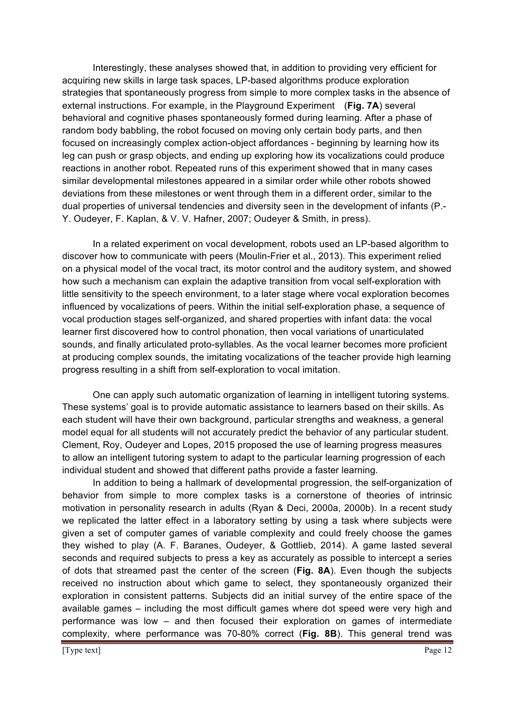Interestingly, these analyses showed that, in addition to providing very efficient for acquiring new skills in large task spaces, LP-based algorithms produce exploration strategies that spontaneously progress from simple to more complex tasks in the absence of external instructions. For example, in the Playground Experiment (**Fig. 7A**) several behavioral and cognitive phases spontaneously formed during learning. After a phase of random body babbling, the robot focused on moving only certain body parts, and then focused on increasingly complex action-object affordances - beginning by learning how its leg can push or grasp objects, and ending up exploring how its vocalizations could produce reactions in another robot. Repeated runs of this experiment showed that in many cases similar developmental milestones appeared in a similar order while other robots showed deviations from these milestones or went through them in a different order, similar to the dual properties of universal tendencies and diversity seen in the development of infants (P.- Y. Oudeyer, F. Kaplan, & V. V. Hafner, 2007; Oudeyer & Smith, in press).

In a related experiment on vocal development, robots used an LP-based algorithm to discover how to communicate with peers (Moulin-Frier et al., 2013). This experiment relied on a physical model of the vocal tract, its motor control and the auditory system, and showed how such a mechanism can explain the adaptive transition from vocal self-exploration with little sensitivity to the speech environment, to a later stage where vocal exploration becomes influenced by vocalizations of peers. Within the initial self-exploration phase, a sequence of vocal production stages self-organized, and shared properties with infant data: the vocal learner first discovered how to control phonation, then vocal variations of unarticulated sounds, and finally articulated proto-syllables. As the vocal learner becomes more proficient at producing complex sounds, the imitating vocalizations of the teacher provide high learning progress resulting in a shift from self-exploration to vocal imitation.

One can apply such automatic organization of learning in intelligent tutoring systems. These systems' goal is to provide automatic assistance to learners based on their skills. As each student will have their own background, particular strengths and weakness, a general model equal for all students will not accurately predict the behavior of any particular student. Clement, Roy, Oudeyer and Lopes, 2015 proposed the use of learning progress measures to allow an intelligent tutoring system to adapt to the particular learning progression of each individual student and showed that different paths provide a faster learning.

In addition to being a hallmark of developmental progression, the self-organization of behavior from simple to more complex tasks is a cornerstone of theories of intrinsic motivation in personality research in adults (Ryan & Deci, 2000a, 2000b). In a recent study we replicated the latter effect in a laboratory setting by using a task where subjects were given a set of computer games of variable complexity and could freely choose the games they wished to play (A. F. Baranes, Oudeyer, & Gottlieb, 2014). A game lasted several seconds and required subjects to press a key as accurately as possible to intercept a series of dots that streamed past the center of the screen (**Fig. 8A**). Even though the subjects received no instruction about which game to select, they spontaneously organized their exploration in consistent patterns. Subjects did an initial survey of the entire space of the available games – including the most difficult games where dot speed were very high and performance was low – and then focused their exploration on games of intermediate complexity, where performance was 70-80% correct (**Fig. 8B**). This general trend was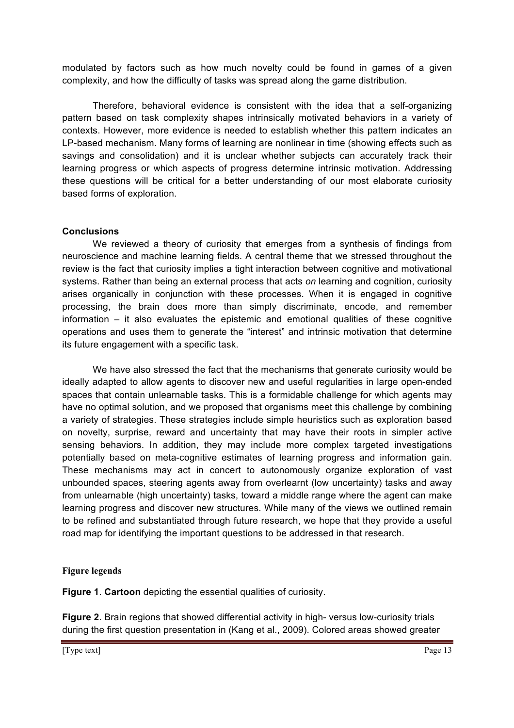modulated by factors such as how much novelty could be found in games of a given complexity, and how the difficulty of tasks was spread along the game distribution.

Therefore, behavioral evidence is consistent with the idea that a self-organizing pattern based on task complexity shapes intrinsically motivated behaviors in a variety of contexts. However, more evidence is needed to establish whether this pattern indicates an LP-based mechanism. Many forms of learning are nonlinear in time (showing effects such as savings and consolidation) and it is unclear whether subjects can accurately track their learning progress or which aspects of progress determine intrinsic motivation. Addressing these questions will be critical for a better understanding of our most elaborate curiosity based forms of exploration.

## **Conclusions**

We reviewed a theory of curiosity that emerges from a synthesis of findings from neuroscience and machine learning fields. A central theme that we stressed throughout the review is the fact that curiosity implies a tight interaction between cognitive and motivational systems. Rather than being an external process that acts *on* learning and cognition, curiosity arises organically in conjunction with these processes. When it is engaged in cognitive processing, the brain does more than simply discriminate, encode, and remember information – it also evaluates the epistemic and emotional qualities of these cognitive operations and uses them to generate the "interest" and intrinsic motivation that determine its future engagement with a specific task.

We have also stressed the fact that the mechanisms that generate curiosity would be ideally adapted to allow agents to discover new and useful regularities in large open-ended spaces that contain unlearnable tasks. This is a formidable challenge for which agents may have no optimal solution, and we proposed that organisms meet this challenge by combining a variety of strategies. These strategies include simple heuristics such as exploration based on novelty, surprise, reward and uncertainty that may have their roots in simpler active sensing behaviors. In addition, they may include more complex targeted investigations potentially based on meta-cognitive estimates of learning progress and information gain. These mechanisms may act in concert to autonomously organize exploration of vast unbounded spaces, steering agents away from overlearnt (low uncertainty) tasks and away from unlearnable (high uncertainty) tasks, toward a middle range where the agent can make learning progress and discover new structures. While many of the views we outlined remain to be refined and substantiated through future research, we hope that they provide a useful road map for identifying the important questions to be addressed in that research.

### **Figure legends**

**Figure 1**. **Cartoon** depicting the essential qualities of curiosity.

**Figure 2**. Brain regions that showed differential activity in high- versus low-curiosity trials during the first question presentation in (Kang et al., 2009). Colored areas showed greater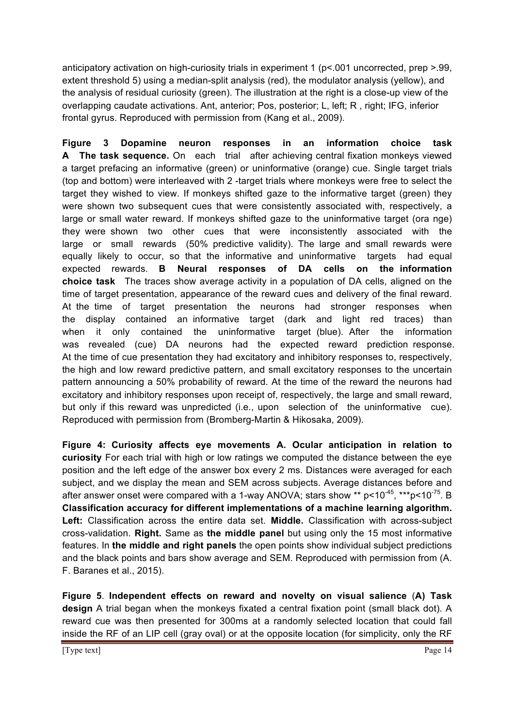anticipatory activation on high-curiosity trials in experiment 1 (p<.001 uncorrected, prep >.99, extent threshold 5) using a median-split analysis (red), the modulator analysis (yellow), and the analysis of residual curiosity (green). The illustration at the right is a close-up view of the overlapping caudate activations. Ant, anterior; Pos, posterior; L, left; R , right; IFG, inferior frontal gyrus. Reproduced with permission from (Kang et al., 2009).

**Figure 3 Dopamine neuron responses in an information choice task A The task sequence.** On each trial after achieving central fixation monkeys viewed a target prefacing an informative (green) or uninformative (orange) cue. Single target trials (top and bottom) were interleaved with 2 -target trials where monkeys were free to select the target they wished to view. If monkeys shifted gaze to the informative target (green) they were shown two subsequent cues that were consistently associated with, respectively, a large or small water reward. If monkeys shifted gaze to the uninformative target (ora nge) they were shown two other cues that were inconsistently associated with the large or small rewards (50% predictive validity). The large and small rewards were equally likely to occur, so that the informative and uninformative targets had equal expected rewards. **B Neural responses of DA cells on the information choice task** The traces show average activity in a population of DA cells, aligned on the time of target presentation, appearance of the reward cues and delivery of the final reward. At the time of target presentation the neurons had stronger responses when the display contained an informative target (dark and light red traces) than when it only contained the uninformative target (blue). After the information was revealed (cue) DA neurons had the expected reward prediction response. At the time of cue presentation they had excitatory and inhibitory responses to, respectively, the high and low reward predictive pattern, and small excitatory responses to the uncertain pattern announcing a 50% probability of reward. At the time of the reward the neurons had excitatory and inhibitory responses upon receipt of, respectively, the large and small reward, but only if this reward was unpredicted (i.e., upon selection of the uninformative cue). Reproduced with permission from (Bromberg-Martin & Hikosaka, 2009).

**Figure 4: Curiosity affects eye movements A. Ocular anticipation in relation to curiosity** For each trial with high or low ratings we computed the distance between the eye position and the left edge of the answer box every 2 ms. Distances were averaged for each subject, and we display the mean and SEM across subjects. Average distances before and after answer onset were compared with a 1-way ANOVA; stars show \*\*  $p$ <10<sup>-45</sup>, \*\*\* $p$ <10<sup>-75</sup>. B **Classification accuracy for different implementations of a machine learning algorithm. Left:** Classification across the entire data set. **Middle.** Classification with across-subject cross-validation. **Right.** Same as **the middle panel** but using only the 15 most informative features. In **the middle and right panels** the open points show individual subject predictions and the black points and bars show average and SEM. Reproduced with permission from (A. F. Baranes et al., 2015).

**Figure 5**. **Independent effects on reward and novelty on visual salience** (**A) Task design** A trial began when the monkeys fixated a central fixation point (small black dot). A reward cue was then presented for 300ms at a randomly selected location that could fall inside the RF of an LIP cell (gray oval) or at the opposite location (for simplicity, only the RF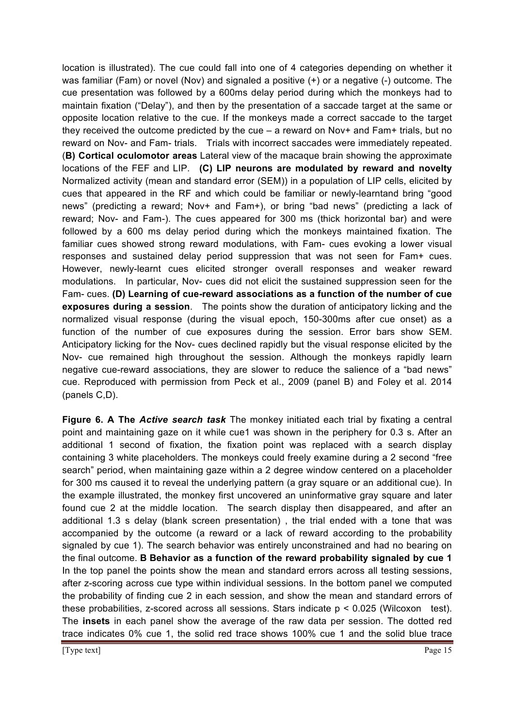location is illustrated). The cue could fall into one of 4 categories depending on whether it was familiar (Fam) or novel (Nov) and signaled a positive (+) or a negative (-) outcome. The cue presentation was followed by a 600ms delay period during which the monkeys had to maintain fixation ("Delay"), and then by the presentation of a saccade target at the same or opposite location relative to the cue. If the monkeys made a correct saccade to the target they received the outcome predicted by the cue – a reward on Nov+ and Fam+ trials, but no reward on Nov- and Fam- trials. Trials with incorrect saccades were immediately repeated. (**B) Cortical oculomotor areas** Lateral view of the macaque brain showing the approximate locations of the FEF and LIP. **(C) LIP neurons are modulated by reward and novelty**  Normalized activity (mean and standard error (SEM)) in a population of LIP cells, elicited by cues that appeared in the RF and which could be familiar or newly-learntand bring "good news" (predicting a reward; Nov+ and Fam+), or bring "bad news" (predicting a lack of reward; Nov- and Fam-). The cues appeared for 300 ms (thick horizontal bar) and were followed by a 600 ms delay period during which the monkeys maintained fixation. The familiar cues showed strong reward modulations, with Fam- cues evoking a lower visual responses and sustained delay period suppression that was not seen for Fam+ cues. However, newly-learnt cues elicited stronger overall responses and weaker reward modulations. In particular, Nov- cues did not elicit the sustained suppression seen for the Fam- cues. **(D) Learning of cue-reward associations as a function of the number of cue exposures during a session**. The points show the duration of anticipatory licking and the normalized visual response (during the visual epoch, 150-300ms after cue onset) as a function of the number of cue exposures during the session. Error bars show SEM. Anticipatory licking for the Nov- cues declined rapidly but the visual response elicited by the Nov- cue remained high throughout the session. Although the monkeys rapidly learn negative cue-reward associations, they are slower to reduce the salience of a "bad news" cue. Reproduced with permission from Peck et al., 2009 (panel B) and Foley et al. 2014 (panels C,D).

**Figure 6. A The** *Active search task* The monkey initiated each trial by fixating a central point and maintaining gaze on it while cue1 was shown in the periphery for 0.3 s. After an additional 1 second of fixation, the fixation point was replaced with a search display containing 3 white placeholders. The monkeys could freely examine during a 2 second "free search" period, when maintaining gaze within a 2 degree window centered on a placeholder for 300 ms caused it to reveal the underlying pattern (a gray square or an additional cue). In the example illustrated, the monkey first uncovered an uninformative gray square and later found cue 2 at the middle location. The search display then disappeared, and after an additional 1.3 s delay (blank screen presentation) , the trial ended with a tone that was accompanied by the outcome (a reward or a lack of reward according to the probability signaled by cue 1). The search behavior was entirely unconstrained and had no bearing on the final outcome. **B Behavior as a function of the reward probability signaled by cue 1**  In the top panel the points show the mean and standard errors across all testing sessions, after z-scoring across cue type within individual sessions. In the bottom panel we computed the probability of finding cue 2 in each session, and show the mean and standard errors of these probabilities, z-scored across all sessions. Stars indicate p < 0.025 (Wilcoxon test). The **insets** in each panel show the average of the raw data per session. The dotted red trace indicates 0% cue 1, the solid red trace shows 100% cue 1 and the solid blue trace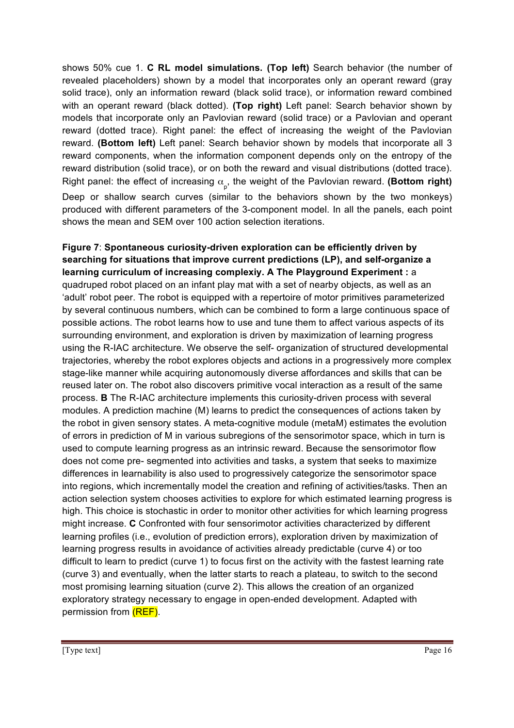shows 50% cue 1. **C RL model simulations. (Top left)** Search behavior (the number of revealed placeholders) shown by a model that incorporates only an operant reward (gray solid trace), only an information reward (black solid trace), or information reward combined with an operant reward (black dotted). **(Top right)** Left panel: Search behavior shown by models that incorporate only an Pavlovian reward (solid trace) or a Pavlovian and operant reward (dotted trace). Right panel: the effect of increasing the weight of the Pavlovian reward. **(Bottom left)** Left panel: Search behavior shown by models that incorporate all 3 reward components, when the information component depends only on the entropy of the reward distribution (solid trace), or on both the reward and visual distributions (dotted trace). Right panel: the effect of increasing  $\alpha_{_{\rm p}}^{}$ , the weight of the Pavlovian reward. **(Bottom right)** Deep or shallow search curves (similar to the behaviors shown by the two monkeys) produced with different parameters of the 3-component model. In all the panels, each point shows the mean and SEM over 100 action selection iterations.

**Figure 7**: **Spontaneous curiosity-driven exploration can be efficiently driven by searching for situations that improve current predictions (LP), and self-organize a learning curriculum of increasing complexiy. A The Playground Experiment :** a quadruped robot placed on an infant play mat with a set of nearby objects, as well as an 'adult' robot peer. The robot is equipped with a repertoire of motor primitives parameterized by several continuous numbers, which can be combined to form a large continuous space of possible actions. The robot learns how to use and tune them to affect various aspects of its surrounding environment, and exploration is driven by maximization of learning progress using the R-IAC architecture. We observe the self- organization of structured developmental trajectories, whereby the robot explores objects and actions in a progressively more complex stage-like manner while acquiring autonomously diverse affordances and skills that can be reused later on. The robot also discovers primitive vocal interaction as a result of the same process. **B** The R-IAC architecture implements this curiosity-driven process with several modules. A prediction machine (M) learns to predict the consequences of actions taken by the robot in given sensory states. A meta-cognitive module (metaM) estimates the evolution of errors in prediction of M in various subregions of the sensorimotor space, which in turn is used to compute learning progress as an intrinsic reward. Because the sensorimotor flow does not come pre- segmented into activities and tasks, a system that seeks to maximize differences in learnability is also used to progressively categorize the sensorimotor space into regions, which incrementally model the creation and refining of activities/tasks. Then an action selection system chooses activities to explore for which estimated learning progress is high. This choice is stochastic in order to monitor other activities for which learning progress might increase. **C** Confronted with four sensorimotor activities characterized by different learning profiles (i.e., evolution of prediction errors), exploration driven by maximization of learning progress results in avoidance of activities already predictable (curve 4) or too difficult to learn to predict (curve 1) to focus first on the activity with the fastest learning rate (curve 3) and eventually, when the latter starts to reach a plateau, to switch to the second most promising learning situation (curve 2). This allows the creation of an organized exploratory strategy necessary to engage in open-ended development. Adapted with permission from (REF).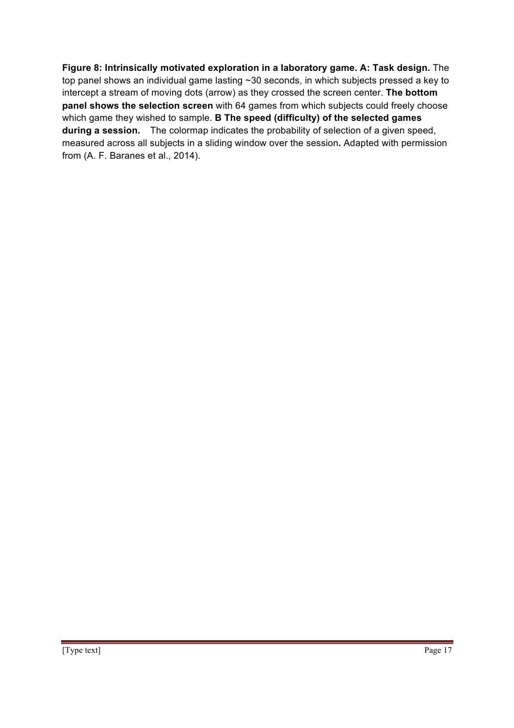**Figure 8: Intrinsically motivated exploration in a laboratory game. A: Task design.** The top panel shows an individual game lasting ~30 seconds, in which subjects pressed a key to intercept a stream of moving dots (arrow) as they crossed the screen center. **The bottom panel shows the selection screen** with 64 games from which subjects could freely choose which game they wished to sample. **B The speed (difficulty) of the selected games during a session.** The colormap indicates the probability of selection of a given speed, measured across all subjects in a sliding window over the session**.** Adapted with permission from (A. F. Baranes et al., 2014).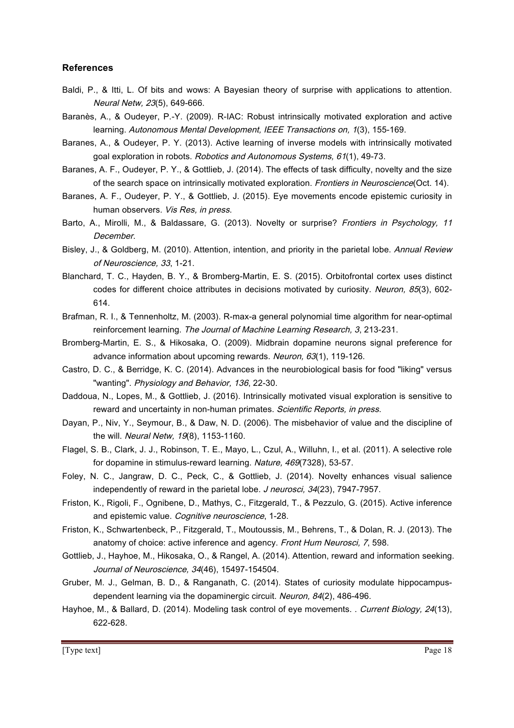#### **References**

- Baldi, P., & Itti, L. Of bits and wows: A Bayesian theory of surprise with applications to attention. Neural Netw, 23(5), 649-666.
- Baranès, A., & Oudeyer, P.-Y. (2009). R-IAC: Robust intrinsically motivated exploration and active learning. Autonomous Mental Development, IEEE Transactions on, 1(3), 155-169.
- Baranes, A., & Oudeyer, P. Y. (2013). Active learning of inverse models with intrinsically motivated goal exploration in robots. Robotics and Autonomous Systems, 61(1), 49-73.
- Baranes, A. F., Oudeyer, P. Y., & Gottlieb, J. (2014). The effects of task difficulty, novelty and the size of the search space on intrinsically motivated exploration. Frontiers in Neuroscience(Oct. 14).
- Baranes, A. F., Oudeyer, P. Y., & Gottlieb, J. (2015). Eye movements encode epistemic curiosity in human observers. Vis Res, in press.
- Barto, A., Mirolli, M., & Baldassare, G. (2013). Novelty or surprise? Frontiers in Psychology, 11 December.
- Bisley, J., & Goldberg, M. (2010). Attention, intention, and priority in the parietal lobe. Annual Review of Neuroscience, 33, 1-21.
- Blanchard, T. C., Hayden, B. Y., & Bromberg-Martin, E. S. (2015). Orbitofrontal cortex uses distinct codes for different choice attributes in decisions motivated by curiosity. Neuron, 85(3), 602- 614.
- Brafman, R. I., & Tennenholtz, M. (2003). R-max-a general polynomial time algorithm for near-optimal reinforcement learning. The Journal of Machine Learning Research, 3, 213-231.
- Bromberg-Martin, E. S., & Hikosaka, O. (2009). Midbrain dopamine neurons signal preference for advance information about upcoming rewards. Neuron, 63(1), 119-126.
- Castro, D. C., & Berridge, K. C. (2014). Advances in the neurobiological basis for food "liking" versus "wanting". Physiology and Behavior, 136, 22-30.
- Daddoua, N., Lopes, M., & Gottlieb, J. (2016). Intrinsically motivated visual exploration is sensitive to reward and uncertainty in non-human primates. Scientific Reports, in press.
- Dayan, P., Niv, Y., Seymour, B., & Daw, N. D. (2006). The misbehavior of value and the discipline of the will. Neural Netw, 19(8), 1153-1160.
- Flagel, S. B., Clark, J. J., Robinson, T. E., Mayo, L., Czul, A., Willuhn, I., et al. (2011). A selective role for dopamine in stimulus-reward learning. Nature, 469(7328), 53-57.
- Foley, N. C., Jangraw, D. C., Peck, C., & Gottlieb, J. (2014). Novelty enhances visual salience independently of reward in the parietal lobe. J neurosci, 34(23), 7947-7957.
- Friston, K., Rigoli, F., Ognibene, D., Mathys, C., Fitzgerald, T., & Pezzulo, G. (2015). Active inference and epistemic value. Cognitive neuroscience, 1-28.
- Friston, K., Schwartenbeck, P., Fitzgerald, T., Moutoussis, M., Behrens, T., & Dolan, R. J. (2013). The anatomy of choice: active inference and agency. Front Hum Neurosci, 7, 598.
- Gottlieb, J., Hayhoe, M., Hikosaka, O., & Rangel, A. (2014). Attention, reward and information seeking. Journal of Neuroscience, 34(46), 15497-154504.
- Gruber, M. J., Gelman, B. D., & Ranganath, C. (2014). States of curiosity modulate hippocampusdependent learning via the dopaminergic circuit. Neuron, 84(2), 486-496.
- Hayhoe, M., & Ballard, D. (2014). Modeling task control of eye movements. . Current Biology, 24(13), 622-628.

[Type text] Page 18 and the set of the set of the set of the set of the set of the set of the set of the set of the set of the set of the set of the set of the set of the set of the set of the set of the set of the set of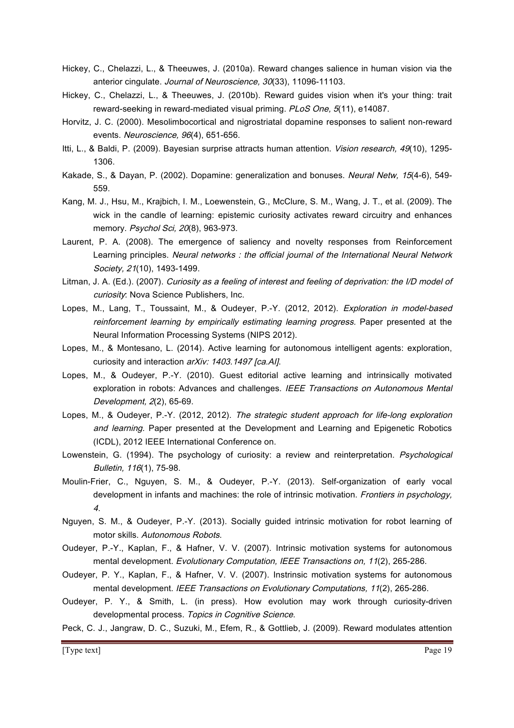- Hickey, C., Chelazzi, L., & Theeuwes, J. (2010a). Reward changes salience in human vision via the anterior cingulate. Journal of Neuroscience, 30(33), 11096-11103.
- Hickey, C., Chelazzi, L., & Theeuwes, J. (2010b). Reward guides vision when it's your thing: trait reward-seeking in reward-mediated visual priming. PLoS One, 5(11), e14087.
- Horvitz, J. C. (2000). Mesolimbocortical and nigrostriatal dopamine responses to salient non-reward events. Neuroscience, 96(4), 651-656.
- Itti, L., & Baldi, P. (2009). Bayesian surprise attracts human attention. Vision research, 49(10), 1295-1306.
- Kakade, S., & Dayan, P. (2002). Dopamine: generalization and bonuses. Neural Netw, 15(4-6), 549- 559.
- Kang, M. J., Hsu, M., Krajbich, I. M., Loewenstein, G., McClure, S. M., Wang, J. T., et al. (2009). The wick in the candle of learning: epistemic curiosity activates reward circuitry and enhances memory. Psychol Sci, 20(8), 963-973.
- Laurent, P. A. (2008). The emergence of saliency and novelty responses from Reinforcement Learning principles. Neural networks : the official journal of the International Neural Network Society, 21(10), 1493-1499.
- Litman, J. A. (Ed.). (2007). Curiosity as a feeling of interest and feeling of deprivation: the I/D model of curiosity: Nova Science Publishers, Inc.
- Lopes, M., Lang, T., Toussaint, M., & Oudeyer, P.-Y. (2012, 2012). Exploration in model-based reinforcement learning by empirically estimating learning progress. Paper presented at the Neural Information Processing Systems (NIPS 2012).
- Lopes, M., & Montesano, L. (2014). Active learning for autonomous intelligent agents: exploration, curiosity and interaction arXiv: 1403.1497 [ca.Al].
- Lopes, M., & Oudeyer, P.-Y. (2010). Guest editorial active learning and intrinsically motivated exploration in robots: Advances and challenges. IEEE Transactions on Autonomous Mental Development, 2(2), 65-69.
- Lopes, M., & Oudeyer, P.-Y. (2012, 2012). The strategic student approach for life-long exploration and learning. Paper presented at the Development and Learning and Epigenetic Robotics (ICDL), 2012 IEEE International Conference on.
- Lowenstein, G. (1994). The psychology of curiosity: a review and reinterpretation. Psychological Bulletin, 116(1), 75-98.
- Moulin-Frier, C., Nguyen, S. M., & Oudeyer, P.-Y. (2013). Self-organization of early vocal development in infants and machines: the role of intrinsic motivation. Frontiers in psychology, 4.
- Nguyen, S. M., & Oudeyer, P.-Y. (2013). Socially guided intrinsic motivation for robot learning of motor skills. Autonomous Robots.
- Oudeyer, P.-Y., Kaplan, F., & Hafner, V. V. (2007). Intrinsic motivation systems for autonomous mental development. Evolutionary Computation, IEEE Transactions on, 11(2), 265-286.
- Oudeyer, P. Y., Kaplan, F., & Hafner, V. V. (2007). Instrinsic motivation systems for autonomous mental development. IEEE Transactions on Evolutionary Computations, 11(2), 265-286.
- Oudeyer, P. Y., & Smith, L. (in press). How evolution may work through curiosity-driven developmental process. Topics in Cognitive Science.
- Peck, C. J., Jangraw, D. C., Suzuki, M., Efem, R., & Gottlieb, J. (2009). Reward modulates attention